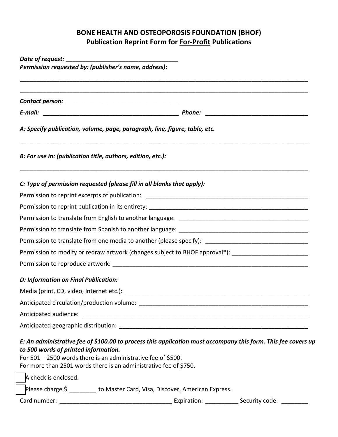## **BONE HEALTH AND OSTEOPOROSIS FOUNDATION (BHOF) Publication Reprint Form for For-Profit Publications**

| A: Specify publication, volume, page, paragraph, line, figure, table, etc.<br>B: For use in: (publication title, authors, edition, etc.):<br>C: Type of permission requested (please fill in all blanks that apply):<br>Permission to translate from one media to another (please specify): _______________________________<br>Permission to modify or redraw artwork (changes subject to BHOF approval*): _______________________ |  |
|------------------------------------------------------------------------------------------------------------------------------------------------------------------------------------------------------------------------------------------------------------------------------------------------------------------------------------------------------------------------------------------------------------------------------------|--|
|                                                                                                                                                                                                                                                                                                                                                                                                                                    |  |
|                                                                                                                                                                                                                                                                                                                                                                                                                                    |  |
|                                                                                                                                                                                                                                                                                                                                                                                                                                    |  |
|                                                                                                                                                                                                                                                                                                                                                                                                                                    |  |
|                                                                                                                                                                                                                                                                                                                                                                                                                                    |  |
|                                                                                                                                                                                                                                                                                                                                                                                                                                    |  |
|                                                                                                                                                                                                                                                                                                                                                                                                                                    |  |
|                                                                                                                                                                                                                                                                                                                                                                                                                                    |  |
|                                                                                                                                                                                                                                                                                                                                                                                                                                    |  |
|                                                                                                                                                                                                                                                                                                                                                                                                                                    |  |
|                                                                                                                                                                                                                                                                                                                                                                                                                                    |  |
|                                                                                                                                                                                                                                                                                                                                                                                                                                    |  |
| D: Information on Final Publication:                                                                                                                                                                                                                                                                                                                                                                                               |  |
|                                                                                                                                                                                                                                                                                                                                                                                                                                    |  |
|                                                                                                                                                                                                                                                                                                                                                                                                                                    |  |
|                                                                                                                                                                                                                                                                                                                                                                                                                                    |  |
|                                                                                                                                                                                                                                                                                                                                                                                                                                    |  |
| E: An administrative fee of \$100.00 to process this application must accompany this form. This fee covers up<br>to 500 words of printed information.<br>For 501 - 2500 words there is an administrative fee of \$500.<br>For more than 2501 words there is an administrative fee of \$750.                                                                                                                                        |  |
| A check is enclosed.                                                                                                                                                                                                                                                                                                                                                                                                               |  |
| Please charge \$ ________ to Master Card, Visa, Discover, American Express.                                                                                                                                                                                                                                                                                                                                                        |  |
|                                                                                                                                                                                                                                                                                                                                                                                                                                    |  |